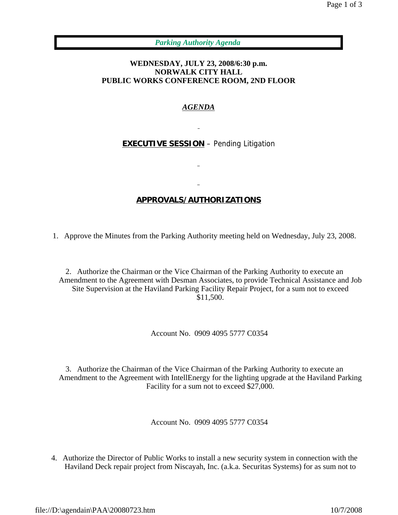*Parking Authority Agenda*

## **WEDNESDAY, JULY 23, 2008/6:30 p.m. NORWALK CITY HALL PUBLIC WORKS CONFERENCE ROOM, 2ND FLOOR**

## *AGENDA*

**EXECUTIVE SESSION** – Pending Litigation

## **APPROVALS/AUTHORIZATIONS**

1. Approve the Minutes from the Parking Authority meeting held on Wednesday, July 23, 2008.

2. Authorize the Chairman or the Vice Chairman of the Parking Authority to execute an Amendment to the Agreement with Desman Associates, to provide Technical Assistance and Job Site Supervision at the Haviland Parking Facility Repair Project, for a sum not to exceed \$11,500.

Account No. 0909 4095 5777 C0354

3. Authorize the Chairman of the Vice Chairman of the Parking Authority to execute an Amendment to the Agreement with IntellEnergy for the lighting upgrade at the Haviland Parking Facility for a sum not to exceed \$27,000.

Account No. 0909 4095 5777 C0354

4. Authorize the Director of Public Works to install a new security system in connection with the Haviland Deck repair project from Niscayah, Inc. (a.k.a. Securitas Systems) for as sum not to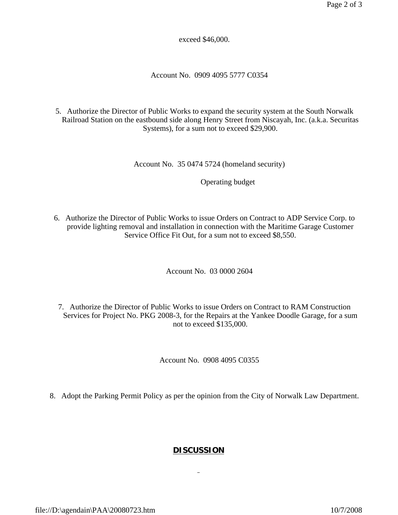exceed \$46,000.

Account No. 0909 4095 5777 C0354

5. Authorize the Director of Public Works to expand the security system at the South Norwalk Railroad Station on the eastbound side along Henry Street from Niscayah, Inc. (a.k.a. Securitas Systems), for a sum not to exceed \$29,900.

Account No. 35 0474 5724 (homeland security)

Operating budget

6. Authorize the Director of Public Works to issue Orders on Contract to ADP Service Corp. to provide lighting removal and installation in connection with the Maritime Garage Customer Service Office Fit Out, for a sum not to exceed \$8,550.

Account No. 03 0000 2604

7. Authorize the Director of Public Works to issue Orders on Contract to RAM Construction Services for Project No. PKG 2008-3, for the Repairs at the Yankee Doodle Garage, for a sum not to exceed \$135,000.

Account No. 0908 4095 C0355

8. Adopt the Parking Permit Policy as per the opinion from the City of Norwalk Law Department.

## **DISCUSSION**

 $\frac{1}{2}$